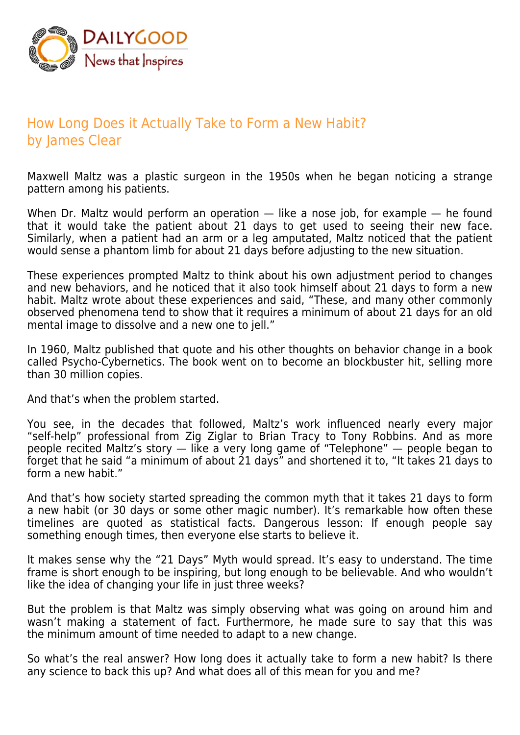

## How Long Does it Actually Take to Form a New Habit? by James Clear

Maxwell Maltz was a plastic surgeon in the 1950s when he began noticing a strange pattern among his patients.

When Dr. Maltz would perform an operation — like a nose job, for example — he found that it would take the patient about 21 days to get used to seeing their new face. Similarly, when a patient had an arm or a leg amputated, Maltz noticed that the patient would sense a phantom limb for about 21 days before adjusting to the new situation.

These experiences prompted Maltz to think about his own adjustment period to changes and new behaviors, and he noticed that it also took himself about 21 days to form a new habit. Maltz wrote about these experiences and said, "These, and many other commonly observed phenomena tend to show that it requires a minimum of about 21 days for an old mental image to dissolve and a new one to jell."

In 1960, Maltz published that quote and his other thoughts on behavior change in a book called Psycho-Cybernetics. The book went on to become an blockbuster hit, selling more than 30 million copies.

And that's when the problem started.

You see, in the decades that followed, Maltz's work influenced nearly every major "self-help" professional from Zig Ziglar to Brian Tracy to Tony Robbins. And as more people recited Maltz's story — like a very long game of "Telephone" — people began to forget that he said "a minimum of about 21 days" and shortened it to, "It takes 21 days to form a new habit."

And that's how society started spreading the common myth that it takes 21 days to form a new habit (or 30 days or some other magic number). It's remarkable how often these timelines are quoted as statistical facts. Dangerous lesson: If enough people say something enough times, then everyone else starts to believe it.

It makes sense why the "21 Days" Myth would spread. It's easy to understand. The time frame is short enough to be inspiring, but long enough to be believable. And who wouldn't like the idea of changing your life in just three weeks?

But the problem is that Maltz was simply observing what was going on around him and wasn't making a statement of fact. Furthermore, he made sure to say that this was the minimum amount of time needed to adapt to a new change.

So what's the real answer? How long does it actually take to form a new habit? Is there any science to back this up? And what does all of this mean for you and me?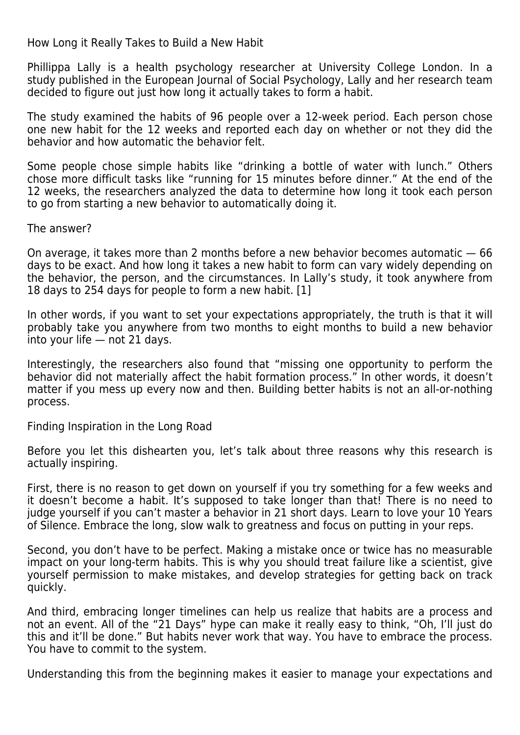How Long it Really Takes to Build a New Habit

Phillippa Lally is a health psychology researcher at University College London. In a study published in the European Journal of Social Psychology, Lally and her research team decided to figure out just how long it actually takes to form a habit.

The study examined the habits of 96 people over a 12-week period. Each person chose one new habit for the 12 weeks and reported each day on whether or not they did the behavior and how automatic the behavior felt.

Some people chose simple habits like "drinking a bottle of water with lunch." Others chose more difficult tasks like "running for 15 minutes before dinner." At the end of the 12 weeks, the researchers analyzed the data to determine how long it took each person to go from starting a new behavior to automatically doing it.

The answer?

On average, it takes more than 2 months before a new behavior becomes automatic — 66 days to be exact. And how long it takes a new habit to form can vary widely depending on the behavior, the person, and the circumstances. In Lally's study, it took anywhere from 18 days to 254 days for people to form a new habit. [1]

In other words, if you want to set your expectations appropriately, the truth is that it will probably take you anywhere from two months to eight months to build a new behavior into your life — not 21 days.

Interestingly, the researchers also found that "missing one opportunity to perform the behavior did not materially affect the habit formation process." In other words, it doesn't matter if you mess up every now and then. Building better habits is not an all-or-nothing process.

Finding Inspiration in the Long Road

Before you let this dishearten you, let's talk about three reasons why this research is actually inspiring.

First, there is no reason to get down on yourself if you try something for a few weeks and it doesn't become a habit. It's supposed to take longer than that! There is no need to judge yourself if you can't master a behavior in 21 short days. Learn to love your 10 Years of Silence. Embrace the long, slow walk to greatness and focus on putting in your reps.

Second, you don't have to be perfect. Making a mistake once or twice has no measurable impact on your long-term habits. This is why you should treat failure like a scientist, give yourself permission to make mistakes, and develop strategies for getting back on track quickly.

And third, embracing longer timelines can help us realize that habits are a process and not an event. All of the "21 Days" hype can make it really easy to think, "Oh, I'll just do this and it'll be done." But habits never work that way. You have to embrace the process. You have to commit to the system.

Understanding this from the beginning makes it easier to manage your expectations and